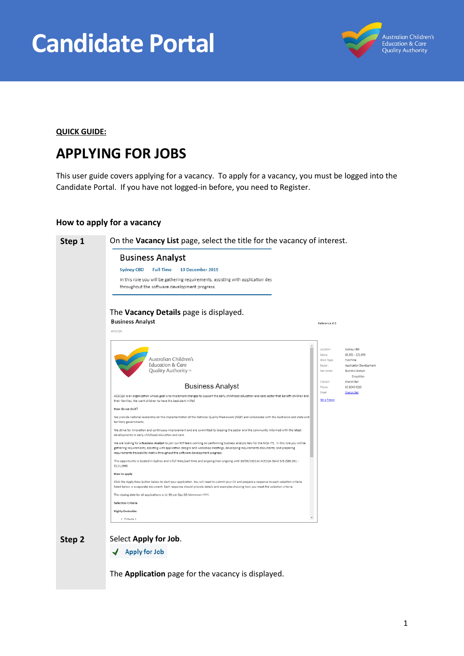



#### **QUICK GUIDE:**

# **APPLYING FOR JOBS**

This user guide covers applying for a vacancy. To apply for a vacancy, you must be logged into the Candidate Portal. If you have not logged-in before, you need to Register.

#### **How to apply for a vacancy**

|        | <b>Business Analyst</b>                                                                                                                                                                                                                                                                                                                                                   |                                                              |                                                                                                   |  |
|--------|---------------------------------------------------------------------------------------------------------------------------------------------------------------------------------------------------------------------------------------------------------------------------------------------------------------------------------------------------------------------------|--------------------------------------------------------------|---------------------------------------------------------------------------------------------------|--|
|        | <b>Sydney CBD</b><br><b>Full-Time</b><br>19 December 2019                                                                                                                                                                                                                                                                                                                 |                                                              |                                                                                                   |  |
|        | In this role you will be gathering requirements, assisting with application des<br>throughout the software development progress.                                                                                                                                                                                                                                          |                                                              |                                                                                                   |  |
|        | The Vacancy Details page is displayed.<br><b>Business Analyst</b><br>ACECQA                                                                                                                                                                                                                                                                                               | Reference #6                                                 |                                                                                                   |  |
|        | Australian Children's<br><b>Education &amp; Care</b><br>Quality Authority™                                                                                                                                                                                                                                                                                                | Location:<br>Salary:<br>Work Type:<br>Sector:<br>Sub sector. | Sydney CBD<br>86,031 - 121,099<br>Full-Time<br>Application Development<br><b>Business Analyst</b> |  |
|        | <b>Business Analyst</b>                                                                                                                                                                                                                                                                                                                                                   | Contact:<br>Phone:<br>Email:                                 | Enquiries<br>Sharon Bell<br>02 8240 4216<br><b>Sharon Bell</b>                                    |  |
|        | ACECQA is an organisation whose goal is to implement changes to support the early childhood education and care sector that benefit children and<br>their families. We want children to have the best start in life!                                                                                                                                                       | <b>Tell a Friend</b>                                         |                                                                                                   |  |
|        | How do we do it?<br>We provide national leadership on the implementation of the National Quality Framework (NQF) and collaborate with the Australian and state and<br>territory governments.                                                                                                                                                                              |                                                              |                                                                                                   |  |
|        | We strive for innovation and continuous improvement and are committed to keeping the sector and the community informed with the latest<br>developments in early childhood education and care.                                                                                                                                                                             |                                                              |                                                                                                   |  |
|        | We are looking for a Business Analyst to join our ICT team working on performing business analysis taks for the NQA ITS. In this role you will be<br>gathering requirements, assisting with application designs and workshop meetings, developing requirements documents, and preparing<br>requirements traceability matrix throughout the software development progress. |                                                              |                                                                                                   |  |
|        | This opportunity is located in Sydney and is full time/part-time and ongoing/non-ongoing until 30/06/2020 at ACECQA Band 5/6 (\$86,031 -<br>\$121,099).                                                                                                                                                                                                                   |                                                              |                                                                                                   |  |
|        | How to apply<br>Click the Apply Now button below to start your application. You will need to submit your CV and prepare a response to each selection criteria<br>listed below in a separate document. Each response should provide details and examples showing how you meet the selection criteria                                                                       |                                                              |                                                                                                   |  |
|        | The closing date for all applications is 11.59 pm Day DD Mmmmm YYYY.                                                                                                                                                                                                                                                                                                      |                                                              |                                                                                                   |  |
|        | Selection Criteria                                                                                                                                                                                                                                                                                                                                                        |                                                              |                                                                                                   |  |
|        | <b>Highly Desirable:</b><br>1 Criteria 1                                                                                                                                                                                                                                                                                                                                  |                                                              |                                                                                                   |  |
|        |                                                                                                                                                                                                                                                                                                                                                                           |                                                              |                                                                                                   |  |
| Step 2 | Select Apply for Job.                                                                                                                                                                                                                                                                                                                                                     |                                                              |                                                                                                   |  |
|        | $\sqrt{ }$ Apply for Job                                                                                                                                                                                                                                                                                                                                                  |                                                              |                                                                                                   |  |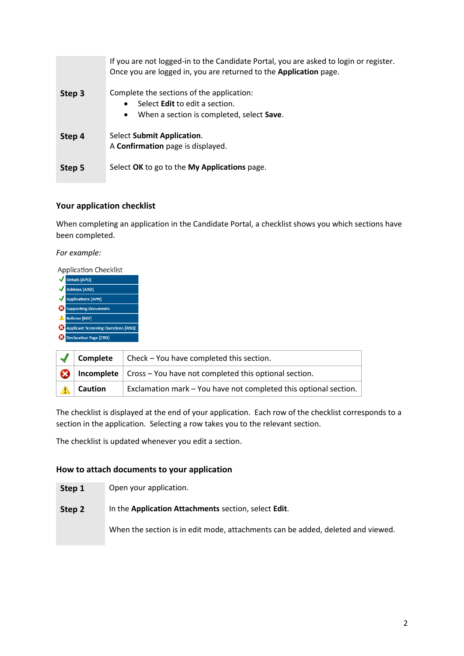|        | If you are not logged-in to the Candidate Portal, you are asked to login or register.<br>Once you are logged in, you are returned to the Application page. |
|--------|------------------------------------------------------------------------------------------------------------------------------------------------------------|
| Step 3 | Complete the sections of the application:<br>Select <b>Edit</b> to edit a section.<br>$\bullet$                                                            |
|        | When a section is completed, select Save.<br>$\bullet$                                                                                                     |
| Step 4 | Select Submit Application.<br>A Confirmation page is displayed.                                                                                            |
| Step 5 | Select OK to go to the My Applications page.                                                                                                               |

# **Your application checklist**

When completing an application in the Candidate Portal, a checklist shows you which sections have been completed.

*For example:*

Application Checklist Details [APD]



| <b>J</b> | Complete       | $\vert$ Check – You have completed this section.                                  |
|----------|----------------|-----------------------------------------------------------------------------------|
|          |                | <b>1</b> Incomplete $\vert$ Cross – You have not completed this optional section. |
|          | <b>Caution</b> | Exclamation mark – You have not completed this optional section.                  |

The checklist is displayed at the end of your application. Each row of the checklist corresponds to a section in the application. Selecting a row takes you to the relevant section.

The checklist is updated whenever you edit a section.

# **How to attach documents to your application**

| Step 1 | Open your application.                                                          |
|--------|---------------------------------------------------------------------------------|
| Step 2 | In the Application Attachments section, select Edit.                            |
|        | When the section is in edit mode, attachments can be added, deleted and viewed. |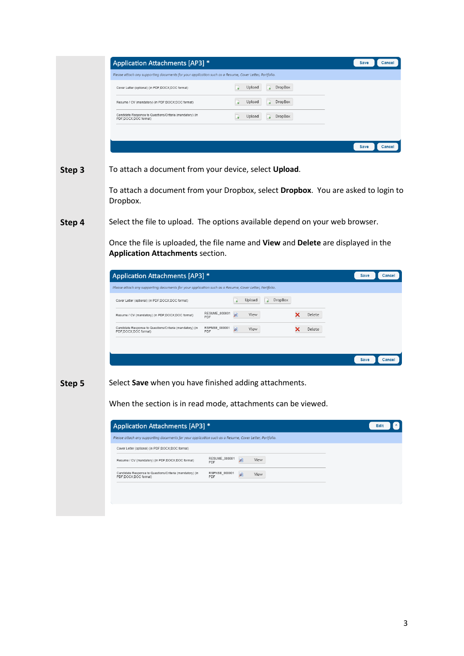|        | <b>Application Attachments [AP3] *</b>                                                                                                      | Save | Cancel |
|--------|---------------------------------------------------------------------------------------------------------------------------------------------|------|--------|
|        | Please attach any supporting documents for your application such as a Resume, Cover Letter, Portfolio.                                      |      |        |
|        | DropBox<br>Upload<br>$\Delta$<br>Cover Letter (optional) (in PDF;DOCX;DOC format)<br>٠                                                      |      |        |
|        | Upload<br>DropBox<br>Resume / CV (mandatory) (in PDF;DOCX;DOC format)<br>$\overline{\bullet}$                                               |      |        |
|        | Candidate Response to Questions/Criteria (mandatory) (in<br>$\frac{1}{2}$<br>Upload<br>DropBox<br>$\frac{1}{2}$<br>PDF;DOCX;DOC format)     |      |        |
|        |                                                                                                                                             |      |        |
|        |                                                                                                                                             | Save | Cancel |
| Step 3 | To attach a document from your device, select Upload.                                                                                       |      |        |
|        | To attach a document from your Dropbox, select Dropbox. You are asked to login to<br>Dropbox.                                               |      |        |
| Step 4 | Select the file to upload. The options available depend on your web browser.                                                                |      |        |
|        | Once the file is uploaded, the file name and View and Delete are displayed in the<br><b>Application Attachments section.</b>                |      |        |
|        | <b>Application Attachments [AP3] *</b>                                                                                                      | Save | Cancel |
|        | Please attach any supporting documents for your application such as a Resume, Cover Letter, Portfolio.                                      |      |        |
|        | DropBox<br>Upload<br>Cover Letter (optional) (in PDF;DOCX;DOC format)                                                                       |      |        |
|        | RESUME_000001<br>$\mathcal{P}$<br>View<br>Delete<br>Resume / CV (mandatory) (in PDF;DOCX;DOC format)<br>PDF                                 |      |        |
|        | Candidate Response to Questions/Criteria (mandatory) (in<br>RSPNSE_000001<br>$\mathcal{P}$<br>View<br>Delete<br>PDF;DOCX;DOC format)<br>PDF |      |        |
|        |                                                                                                                                             |      |        |
|        |                                                                                                                                             | Save | Cancel |
| Step 5 | Select Save when you have finished adding attachments.                                                                                      |      |        |
|        | When the section is in read mode, attachments can be viewed                                                                                 |      |        |
|        | <b>Application Attachments [AP3] *</b>                                                                                                      |      | Edit   |
|        | Please attach any supporting documents for your application such as a Resume, Cover Letter, Portfolio.                                      |      |        |
|        | Cover Letter (optional) (in PDF;DOCX;DOC format)                                                                                            |      |        |
|        | RESUME_000001<br>View<br>Resume / CV (mandatory) (in PDF;DOCX;DOC format)<br>PDF                                                            |      |        |
|        | Candidate Response to Questions/Criteria (mandatory) (in<br>RSPNSE_000001<br>$\circ$<br>View<br>PDF;DOCX;DOC format)<br><b>PDF</b>          |      |        |
|        |                                                                                                                                             |      |        |
|        |                                                                                                                                             |      |        |
|        |                                                                                                                                             |      |        |